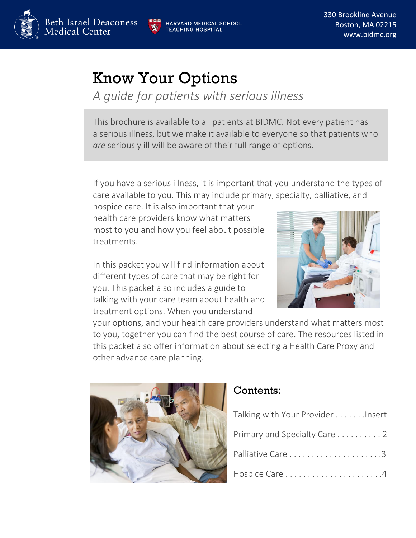

**ARVARD MEDICAL SCHOOL ACHING HOSPITAL** 

330 Brookline Avenue Boston, MA 02215 www.bidmc.org

# Know Your Options

*A guide for patients with serious illness*

This brochure is available to all patients at BIDMC. Not every patient has a serious illness, but we make it available to everyone so that patients who *are* seriously ill will be aware of their full range of options.

If you have a serious illness, it is important that you understand the types of care available to you. This may include primary, specialty, palliative, and

hospice care. It is also important that your health care providers know what matters most to you and how you feel about possible treatments.

In this packet you will find information about different types of care that may be right for you. This packet also includes a guide to talking with your care team about health and treatment options. When you understand



your options, and your health care providers understand what matters most to you, together you can find the best course of care. The resources listed in this packet also offer information about selecting a Health Care Proxy and other advance care planning.



#### Contents:

| Talking with Your Provider Insert |
|-----------------------------------|
| Primary and Specialty Care 2      |
|                                   |
|                                   |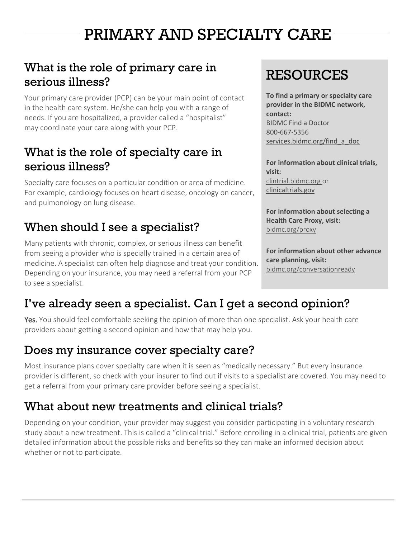# PRIMARY AND SPECIALTY CARE

### What is the role of primary care in serious illness?

Your primary care provider (PCP) can be your main point of contact in the health care system. He/she can help you with a range of needs. If you are hospitalized, a provider called a "hospitalist" may coordinate your care along with your PCP.

#### What is the role of specialty care in serious illness?

Specialty care focuses on a particular condition or area of medicine. For example, cardiology focuses on heart disease, oncology on cancer, and pulmonology on lung disease.

#### When should I see a specialist?

Many patients with chronic, complex, or serious illness can benefit from seeing a provider who is specially trained in a certain area of medicine. A specialist can often help diagnose and treat your condition. Depending on your insurance, you may need a referral from your PCP to see a specialist.

# **RESOURCES**

**To find a primary or specialty care provider in the BIDMC network, contact:**  BIDMC Find a Doctor 800-667-5356 [services.bidmc.org/find\\_a\\_doc](file:///C:/Users/jgreene7/AppData/Local/Microsoft/Windows/Temporary%20Internet%20Files/Content.Outlook/AppData/Local/Microsoft/Windows/Temporary%20Internet%20Files/Content.Outlook/AppData/Local/jgreene7/AppData/AppData/Local/Microsoft/Windows/cpmoore/AppData/Local/Microsoft/Windows/Temporary%20Internet%20Files/Content.Outlook/0H81AFWI/services.bidmc.org/find_a_doc)

**For information about clinical trials, visit:** [clintrial.bidmc.org](file:///C:/Users/jgreene7/AppData/Local/Microsoft/Windows/Temporary%20Internet%20Files/Content.Outlook/AppData/Local/Microsoft/Windows/Temporary%20Internet%20Files/Content.Outlook/AppData/Local/jgreene7/AppData/AppData/Local/Microsoft/Windows/cpmoore/AppData/Local/Microsoft/Windows/Temporary%20Internet%20Files/Content.Outlook/0H81AFWI/clintrial.bidmc.org) or clinicaltrials.gov

**For information about selecting a Health Care Proxy, visit:** bidmc.org/proxy

**For information about other advance care planning, visit:** bidmc.org/conversationready

#### I've already seen a specialist. Can I get a second opinion?

Yes. You should feel comfortable seeking the opinion of more than one specialist. Ask your health care providers about getting a second opinion and how that may help you.

#### Does my insurance cover specialty care?

Most insurance plans cover specialty care when it is seen as "medically necessary." But every insurance provider is different, so check with your insurer to find out if visits to a specialist are covered. You may need to get a referral from your primary care provider before seeing a specialist.

#### What about new treatments and clinical trials?

Depending on your condition, your provider may suggest you consider participating in a voluntary research study about a new treatment. This is called a "clinical trial." Before enrolling in a clinical trial, patients are given detailed information about the possible risks and benefits so they can make an informed decision about whether or not to participate.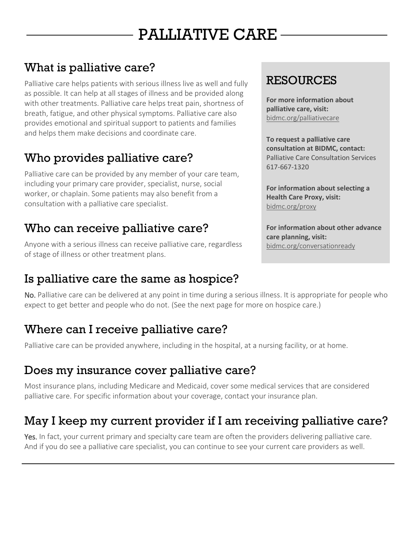# PALLIATIVE CARE

## What is palliative care?

Palliative care helps patients with serious illness live as well and fully as possible. It can help at all stages of illness and be provided along with other treatments. Palliative care helps treat pain, shortness of breath, fatigue, and other physical symptoms. Palliative care also provides emotional and spiritual support to patients and families and helps them make decisions and coordinate care.

## Who provides palliative care?

Palliative care can be provided by any member of your care team, including your primary care provider, specialist, nurse, social worker, or chaplain. Some patients may also benefit from a consultation with a palliative care specialist.

#### Who can receive palliative care?

Anyone with a serious illness can receive palliative care, regardless of stage of illness or other treatment plans.

#### Is palliative care the same as hospice?

### RESOURCES

**For more information about palliative care, visit:** [bidmc.org/palliativecare](http://www.bidmc.org/palliativecare)

**To request a palliative care consultation at BIDMC, contact:** Palliative Care Consultation Services 617-667-1320

**For information about selecting a Health Care Proxy, visit:** bidmc.org/proxy

**For information about other advance care planning, visit:** bidmc.org/conversationready

No. Palliative care can be delivered at any point in time during a serious illness. It is appropriate for people who expect to get better and people who do not. (See the next page for more on hospice care.)

#### Where can I receive palliative care?

Palliative care can be provided anywhere, including in the hospital, at a nursing facility, or at home.

#### Does my insurance cover palliative care?

Most insurance plans, including Medicare and Medicaid, cover some medical services that are considered palliative care. For specific information about your coverage, contact your insurance plan.

## May I keep my current provider if I am receiving palliative care?

Yes. In fact, your current primary and specialty care team are often the providers delivering palliative care. And if you do see a palliative care specialist, you can continue to see your current care providers as well.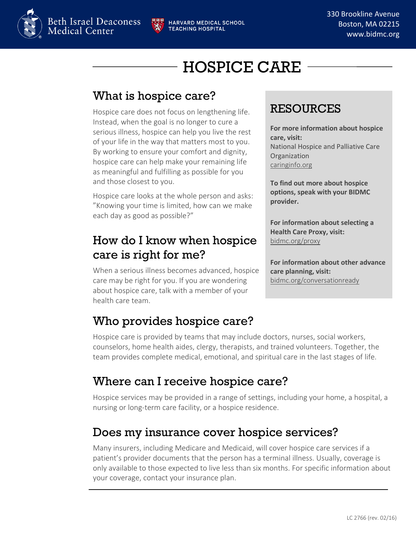

# HOSPICE CARE

### What is hospice care?

Hospice care does not focus on lengthening life. Instead, when the goal is no longer to cure a serious illness, hospice can help you live the rest of your life in the way that matters most to you. By working to ensure your comfort and dignity, hospice care can help make your remaining life as meaningful and fulfilling as possible for you and those closest to you.

Hospice care looks at the whole person and asks: "Knowing your time is limited, how can we make each day as good as possible?"

### How do I know when hospice care is right for me?

When a serious illness becomes advanced, hospice care may be right for you. If you are wondering about hospice care, talk with a member of your health care team.

## Who provides hospice care?

Hospice care is provided by teams that may include doctors, nurses, social workers, counselors, home health aides, clergy, therapists, and trained volunteers. Together, the team provides complete medical, emotional, and spiritual care in the last stages of life.

#### Where can I receive hospice care?

Hospice services may be provided in a range of settings, including your home, a hospital, a nursing or long-term care facility, or a hospice residence.

#### Does my insurance cover hospice services?

Many insurers, including Medicare and Medicaid, will cover hospice care services if a patient's provider documents that the person has a terminal illness. Usually, coverage is only available to those expected to live less than six months. For specific information about your coverage, contact your insurance plan.

### RESOURCES

**For more information about hospice care, visit:** National Hospice and Palliative Care Organization caringinfo.org

**To find out more about hospice options, speak with your BIDMC provider.**

**For information about selecting a Health Care Proxy, visit:** bidmc.org/proxy

**For information about other advance care planning, visit:** bidmc.org/conversationready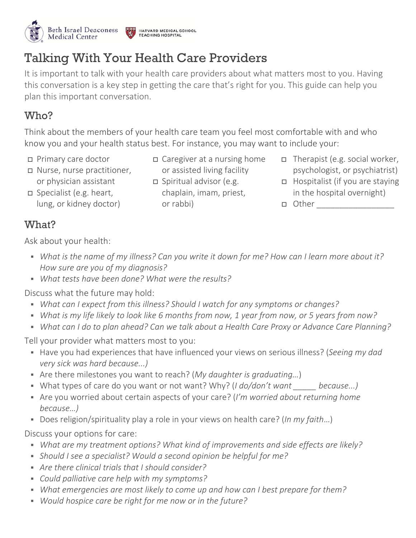

## Talking With Your Health Care Providers

It is important to talk with your health care providers about what matters most to you. Having this conversation is a key step in getting the care that's right for you. This guide can help you plan this important conversation.

#### Who?

Think about the members of your health care team you feel most comfortable with and who know you and your health status best. For instance, you may want to include your:

Primary care doctor

 Nurse, nurse practitioner, or physician assistant Specialist (e.g. heart,

lung, or kidney doctor)

- Caregiver at a nursing home or assisted living facility
- $\Box$  Spiritual advisor (e.g. chaplain, imam, priest, or rabbi)
- Therapist (e.g. social worker, psychologist, or psychiatrist)
- □ Hospitalist (if you are staying in the hospital overnight)
- $\Box$  Other

#### What?

Ask about your health:

- *What is the name of my illness? Can you write it down for me? How can I learn more about it? How sure are you of my diagnosis?*
- *What tests have been done? What were the results?*

Discuss what the future may hold:

- *What can I expect from this illness? Should I watch for any symptoms or changes?*
- *What is my life likely to look like 6 months from now, 1 year from now, or 5 years from now?*
- *What can I do to plan ahead? Can we talk about a Health Care Proxy or Advance Care Planning?*

Tell your provider what matters most to you:

- Have you had experiences that have influenced your views on serious illness? (*Seeing my dad very sick was hard because...)*
- Are there milestones you want to reach? (*My daughter is graduating…*)
- What types of care do you want or not want? Why? (*I do/don't want \_\_\_\_\_ because...)*
- Are you worried about certain aspects of your care? (*I'm worried about returning home because…)*
- Does religion/spirituality play a role in your views on health care? (*In my faith*…)

Discuss your options for care:

- *What are my treatment options? What kind of improvements and side effects are likely?*
- *Should I see a specialist? Would a second opinion be helpful for me?*
- *Are there clinical trials that I should consider?*
- *Could palliative care help with my symptoms?*
- *What emergencies are most likely to come up and how can I best prepare for them?*
- *Would hospice care be right for me now or in the future?*